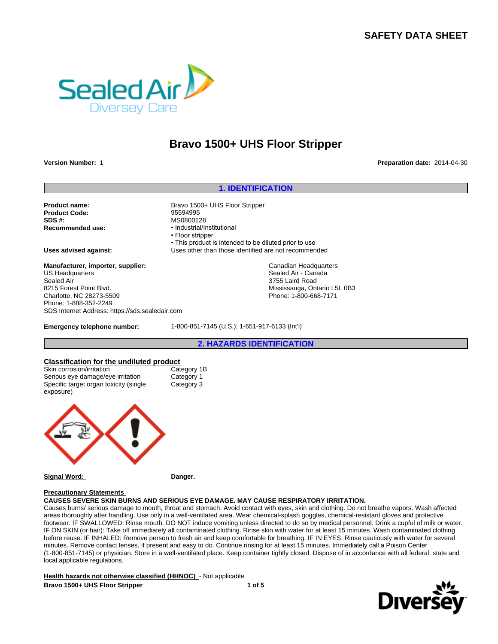# **SAFETY DATA SHEET**



# **Bravo 1500+ UHS Floor Stripper**

**Version Number:** 1 **Preparation date:** 2014-04-30

## **1. IDENTIFICATION**

**Product Code:** 95594995 **SDS #:** MS0800128<br> **Recommended use:** Magnush MS0800128

Product name: Bravo 1500+ UHS Floor Stripper **Recommended use:** •Industrial/Institutional • Floor stripper • This product is intended to be diluted prior to use **Uses advised against:** Uses other than those identified are not recommended Canadian Headquarters Sealed Air - Canada 3755 Laird Road

Mississauga, Ontario L5L 0B3 Phone: 1-800-668-7171

**Manufacturer, importer, supplier:** US Headquarters Sealed Air 8215 Forest Point Blvd. Charlotte, NC 28273-5509 Phone: 1-888-352-2249 SDS Internet Address: https://sds.sealedair.com

**Emergency telephone number:** 1-800-851-7145 (U.S.); 1-651-917-6133 (Int'l)

**2. HAZARDS IDENTIFICATION**

# **Classification for the undiluted product**

Skin corrosion/irritation Serious eye damage/eye irritation Category 1 Specific target organ toxicity (single exposure)

Category 3



#### **Signal Word: Danger.**

#### **Precautionary Statements**

**CAUSES SEVERE SKIN BURNS AND SERIOUS EYE DAMAGE. MAY CAUSE RESPIRATORY IRRITATION.**

Causes burns/ serious damage to mouth, throat and stomach. Avoid contact with eyes, skin and clothing. Do not breathe vapors. Wash affected areas thoroughly after handling. Use only in a well-ventilated area. Wear chemical-splash goggles, chemical-resistant gloves and protective footwear. IF SWALLOWED: Rinse mouth. DO NOT induce vomiting unless directed to do so by medical personnel. Drink a cupful of milk or water. IF ON SKIN (or hair): Take off immediately all contaminated clothing. Rinse skin with water for at least 15 minutes. Wash contaminated clothing before reuse. IF INHALED: Remove person to fresh air and keep comfortable for breathing. IF IN EYES: Rinse cautiously with water for several minutes. Remove contact lenses, if present and easy to do. Continue rinsing for at least 15 minutes. Immediately call a Poison Center (1-800-851-7145) or physician. Store in a well-ventilated place. Keep container tightly closed. Dispose of in accordance with all federal, state and local applicable regulations.

**Health hazards not otherwise classified (HHNOC)** - Not applicable **Bravo 1500+ UHS Floor Stripper 1 of 5**

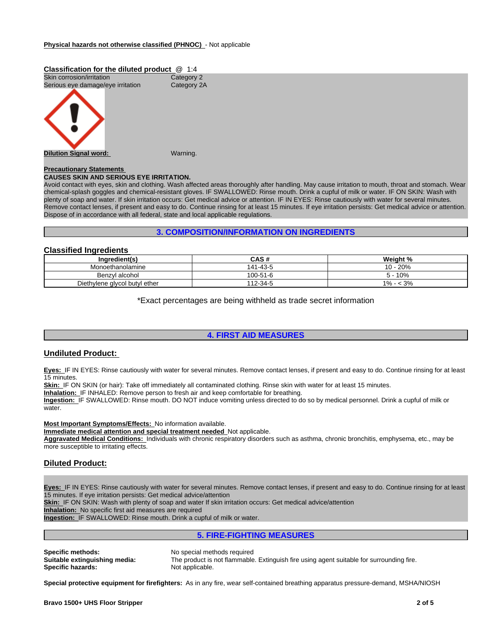#### **Classification for the diluted product** @ 1:4 Skin corrosion/irritation Category 2<br>
Serious eye damage/eye irritation Category 2A Serious eye damage/eye irritation



#### **Precautionary Statements**

#### **CAUSES SKIN AND SERIOUS EYE IRRITATION.**

Avoid contact with eyes, skin and clothing. Wash affected areas thoroughly after handling. May cause irritation to mouth, throat and stomach. Wear chemical-splash goggles and chemical-resistant gloves. IF SWALLOWED: Rinse mouth. Drink a cupful of milk or water. IF ON SKIN: Wash with plenty of soap and water. If skin irritation occurs: Get medical advice or attention. IF IN EYES: Rinse cautiously with water for several minutes. Remove contact lenses, if present and easy to do. Continue rinsing for at least 15 minutes. If eye irritation persists: Get medical advice or attention. Dispose of in accordance with all federal, state and local applicable regulations.

### **3. COMPOSITION/INFORMATION ON INGREDIENTS**

# **Classified Ingredients**

| Ingredient(s)                 | <b>CAS#</b> | Weight %                |
|-------------------------------|-------------|-------------------------|
| Monoethanolamine              | 141-43-5    | 20%<br>$10 -$           |
| Benzyl alcohol                | 100-51-6    | 10%<br>- C              |
| Diethylene glycol butyl ether | 112-34-5    | $\sim$<br>$1\%$<br>< პ% |

\*Exact percentages are being withheld as trade secret information

# **4. FIRST AID MEASURES**

### **Undiluted Product:**

**Eyes:** IF IN EYES: Rinse cautiously with water for several minutes. Remove contact lenses, if present and easy to do. Continue rinsing for at least 15 minutes.

**Skin:** IF ON SKIN (or hair): Take off immediately all contaminated clothing. Rinse skin with water for at least 15 minutes.

**Inhalation:** IF INHALED: Remove person to fresh air and keep comfortable for breathing.

**Ingestion:** IF SWALLOWED: Rinse mouth. DO NOT induce vomiting unless directed to do so by medical personnel. Drink a cupful of milk or water.

**Most Important Symptoms/Effects:** No information available.

**Immediate medical attention and special treatment needed** Not applicable.

**Aggravated Medical Conditions:** Individuals with chronic respiratory disorders such as asthma, chronic bronchitis, emphysema, etc., may be more susceptible to irritating effects.

## **Diluted Product:**

**Eyes:** IF IN EYES: Rinse cautiously with water for several minutes. Remove contact lenses, if present and easy to do. Continue rinsing for at least 15 minutes. If eye irritation persists: Get medical advice/attention

**Skin:** IF ON SKIN: Wash with plenty of soap and water If skin irritation occurs: Get medical advice/attention

**Inhalation:** No specific first aid measures are required

**Ingestion:** IF SWALLOWED: Rinse mouth. Drink a cupful of milk or water.

**5. FIRE-FIGHTING MEASURES**

**Specific methods:** No special methods required **Specific hazards:** 

**Suitable extinguishing media:** The product is not flammable. Extinguish fire using agent suitable for surrounding fire.

**Special protective equipment for firefighters:** As in any fire, wear self-contained breathing apparatus pressure-demand, MSHA/NIOSH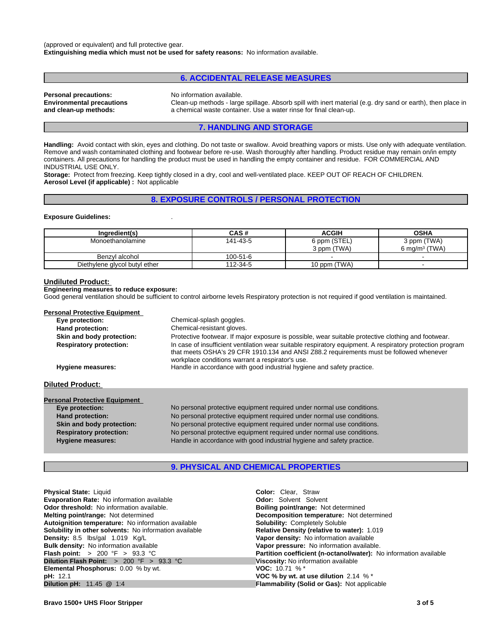(approved or equivalent) and full protective gear. **Extinguishing media which must not be used for safety reasons:** No information available.

# **6. ACCIDENTAL RELEASE MEASURES**

| <b>Personal precautions:</b>     |  |
|----------------------------------|--|
| <b>Environmental precautions</b> |  |
| and clean-up methods:            |  |

No information available.

**Environmental precautions** Clean-up methods - large spillage. Absorb spill with inert material (e.g. dry sand or earth), then place in a chemical waste container. Use a water rinse for final clean-up.

# **7. HANDLING AND STORAGE**

Handling: Avoid contact with skin, eyes and clothing. Do not taste or swallow. Avoid breathing vapors or mists. Use only with adequate ventilation. Remove and wash contaminated clothing and footwear before re-use. Wash thoroughly after handling. Product residue may remain on/in empty containers. All precautions for handling the product must be used in handling the empty container and residue. FOR COMMERCIAL AND INDUSTRIAL USE ONLY.

**Storage:** Protect from freezing. Keep tightly closed in a dry, cool and well-ventilated place. KEEP OUT OF REACH OF CHILDREN. **Aerosol Level (if applicable) :** Not applicable

#### **8. EXPOSURE CONTROLS / PERSONAL PROTECTION**

#### **Exposure Guidelines:** .

| Ingredient(s)                 | CAS#     | <b>ACGIH</b> | <b>OSHA</b>               |
|-------------------------------|----------|--------------|---------------------------|
| Monoethanolamine              | 141-43-5 | 6 ppm (STEL) | 3 ppm (TWA)               |
|                               |          | 3 ppm (TWA)  | 6 mg/m <sup>3</sup> (TWA) |
| Benzyl alcohol                | 100-51-6 |              |                           |
| Diethylene glycol butyl ether | 112-34-5 | 10 ppm (TWA) | -                         |

#### **Undiluted Product:**

#### **Engineering measures to reduce exposure:**

Good general ventilation should be sufficient to control airborne levels Respiratory protection is not required if good ventilation is maintained.

| <b>Personal Protective Equipment</b> |                                                                                                                                                                                                                                                          |
|--------------------------------------|----------------------------------------------------------------------------------------------------------------------------------------------------------------------------------------------------------------------------------------------------------|
| Eye protection:                      | Chemical-splash goggles.                                                                                                                                                                                                                                 |
| Hand protection:                     | Chemical-resistant gloves.                                                                                                                                                                                                                               |
| Skin and body protection:            | Protective footwear. If major exposure is possible, wear suitable protective clothing and footwear.                                                                                                                                                      |
| <b>Respiratory protection:</b>       | In case of insufficient ventilation wear suitable respiratory equipment. A respiratory protection program<br>that meets OSHA's 29 CFR 1910.134 and ANSI Z88.2 requirements must be followed whenever<br>workplace conditions warrant a respirator's use. |
| Hygiene measures:                    | Handle in accordance with good industrial hygiene and safety practice.                                                                                                                                                                                   |
| <b>Diluted Product:</b>              |                                                                                                                                                                                                                                                          |
|                                      |                                                                                                                                                                                                                                                          |
| <b>Personal Protective Equipment</b> |                                                                                                                                                                                                                                                          |
| Eye protection:                      | No personal protective equipment required under normal use conditions.                                                                                                                                                                                   |
| Hand protection:                     | No personal protective equipment required under normal use conditions.                                                                                                                                                                                   |
| Skin and body protection:            | No personal protective equipment required under normal use conditions.                                                                                                                                                                                   |
| <b>Respiratory protection:</b>       | No personal protective equipment required under normal use conditions.                                                                                                                                                                                   |

# **9. PHYSICAL AND CHEMICAL PROPERTIES**

**Hygiene measures:** Handle in accordance with good industrial hygiene and safety practice.

| <b>Physical State: Liquid</b>                                         | <b>Color:</b> Clear, Straw                                               |
|-----------------------------------------------------------------------|--------------------------------------------------------------------------|
| <b>Evaporation Rate:</b> No information available                     | <b>Odor:</b> Solvent Solvent                                             |
| <b>Odor threshold:</b> No information available.                      | <b>Boiling point/range: Not determined</b>                               |
| <b>Melting point/range: Not determined</b>                            | <b>Decomposition temperature:</b> Not determined                         |
| Autoignition temperature: No information available                    | <b>Solubility: Completely Soluble</b>                                    |
| <b>Solubility in other solvents:</b> No information available         | Relative Density (relative to water): 1.019                              |
| Density: 8.5 lbs/gal 1.019 Kg/L                                       | Vapor density: No information available                                  |
| <b>Bulk density:</b> No information available                         | Vapor pressure: No information available.                                |
| <b>Flash point:</b> > 200 °F > 93.3 °C                                | <b>Partition coefficient (n-octanol/water):</b> No information available |
| <b>Dilution Flash Point:</b> $> 200 \, \text{°F} > 93.3 \, \text{°C}$ | Viscosity: No information available                                      |
| <b>Elemental Phosphorus: 0.00 % by wt.</b>                            | <b>VOC:</b> 10.71 % $*$                                                  |
| <b>pH:</b> 12.1                                                       | VOC % by wt. at use dilution $2.14\%$ *                                  |
| <b>Dilution pH:</b> $11.45$ @ 1:4                                     | <b>Flammability (Solid or Gas): Not applicable</b>                       |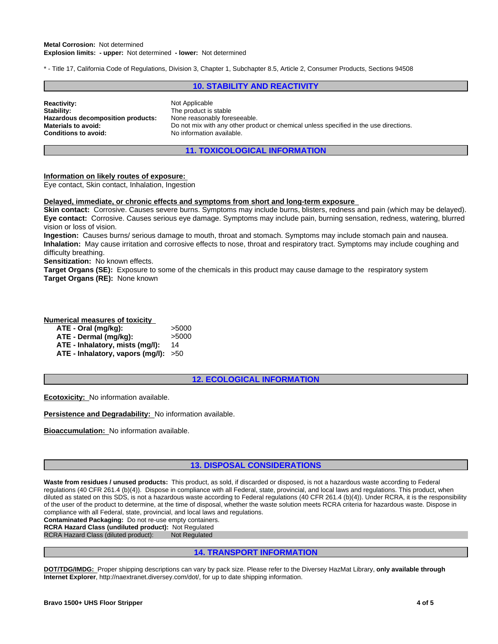\* - Title 17, California Code of Regulations, Division 3, Chapter 1, Subchapter 8.5, Article 2, Consumer Products, Sections 94508

## **10. STABILITY AND REACTIVITY**

| <b>Reactivity:</b>                | Not Applicable                                                                        |
|-----------------------------------|---------------------------------------------------------------------------------------|
| Stability:                        | The product is stable                                                                 |
| Hazardous decomposition products: | None reasonably foreseeable.                                                          |
| Materials to avoid:               | Do not mix with any other product or chemical unless specified in the use directions. |
| Conditions to avoid:              | No information available.                                                             |

# **11. TOXICOLOGICAL INFORMATION**

#### **Information on likely routes of exposure:**

Eye contact, Skin contact, Inhalation, Ingestion

#### **Delayed, immediate, or chronic effects and symptoms from short and long-term exposure**

**Skin contact:** Corrosive. Causes severe burns. Symptoms may include burns, blisters, redness and pain (which may be delayed). **Eye contact:** Corrosive. Causes serious eye damage. Symptoms may include pain, burning sensation, redness, watering, blurred vision or loss of vision.

**Ingestion:** Causes burns/ serious damage to mouth, throat and stomach. Symptoms may include stomach pain and nausea. **Inhalation:** May cause irritation and corrosive effects to nose, throat and respiratory tract. Symptoms may include coughing and difficulty breathing.

**Sensitization:** No known effects.

**Target Organs (SE):** Exposure to some of the chemicals in this product may cause damage to the respiratory system **Target Organs (RE):** None known

#### **Numerical measures of toxicity**

| ATE - Oral (mg/kg):                    | >5000 |
|----------------------------------------|-------|
| ATE - Dermal (mg/kg):                  | >5000 |
| ATE - Inhalatory, mists (mg/l):        | 14    |
| ATE - Inhalatory, vapors (mg/l): $>50$ |       |

#### **12. ECOLOGICAL INFORMATION**

**Ecotoxicity:** No information available.

**Persistence and Degradability:** No information available.

**Bioaccumulation:** No information available.

# **13. DISPOSAL CONSIDERATIONS**

**Waste from residues / unused products:** This product, as sold, if discarded or disposed, is not a hazardous waste according to Federal regulations (40 CFR 261.4 (b)(4)). Dispose in compliance with all Federal, state, provincial, and local laws and regulations. This product, when diluted as stated on this SDS, is not a hazardous waste according to Federal regulations (40 CFR 261.4 (b)(4)). Under RCRA, it is the responsibility of the user of the product to determine, at the time of disposal, whether the waste solution meets RCRA criteria for hazardous waste. Dispose in compliance with all Federal, state, provincial, and local laws and regulations.

**Contaminated Packaging:** Do not re-use empty containers.

**RCRA Hazard Class (undiluted product):** Not Regulated RCRA Hazard Class (diluted product): Not Regulated

#### **14. TRANSPORT INFORMATION**

**DOT/TDG/IMDG:** Proper shipping descriptions can vary by pack size. Please refer to the Diversey HazMat Library, **only available through Internet Explorer**, http://naextranet.diversey.com/dot/, for up to date shipping information.